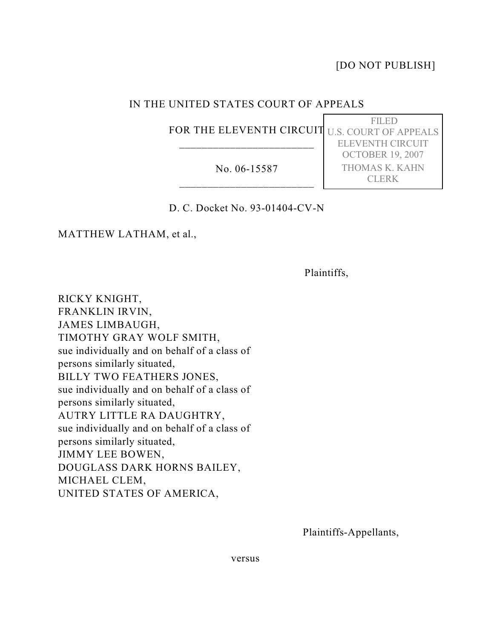[DO NOT PUBLISH]

FILED

ELEVENTH CIRCUIT OCTOBER 19, 2007 THOMAS K. KAHN CLERK

## IN THE UNITED STATES COURT OF APPEALS

FOR THE ELEVENTH CIRCUIT U.S. COURT OF APPEALS \_\_\_\_\_\_\_\_\_\_\_\_\_\_\_\_\_\_\_\_\_\_\_\_

No. 06-15587 \_\_\_\_\_\_\_\_\_\_\_\_\_\_\_\_\_\_\_\_\_\_\_\_

## D. C. Docket No. 93-01404-CV-N

MATTHEW LATHAM, et al.,

Plaintiffs,

RICKY KNIGHT, FRANKLIN IRVIN, JAMES LIMBAUGH, TIMOTHY GRAY WOLF SMITH, sue individually and on behalf of a class of persons similarly situated, BILLY TWO FEATHERS JONES, sue individually and on behalf of a class of persons similarly situated, AUTRY LITTLE RA DAUGHTRY, sue individually and on behalf of a class of persons similarly situated, JIMMY LEE BOWEN, DOUGLASS DARK HORNS BAILEY, MICHAEL CLEM, UNITED STATES OF AMERICA,

Plaintiffs-Appellants,

versus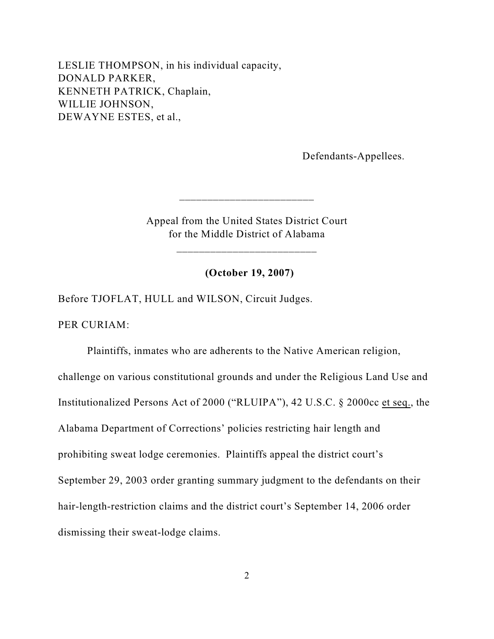LESLIE THOMPSON, in his individual capacity, DONALD PARKER, KENNETH PATRICK, Chaplain, WILLIE JOHNSON, DEWAYNE ESTES, et al.,

Defendants-Appellees.

Appeal from the United States District Court for the Middle District of Alabama

\_\_\_\_\_\_\_\_\_\_\_\_\_\_\_\_\_\_\_\_\_\_\_\_\_

 $\frac{1}{2}$  ,  $\frac{1}{2}$  ,  $\frac{1}{2}$  ,  $\frac{1}{2}$  ,  $\frac{1}{2}$  ,  $\frac{1}{2}$  ,  $\frac{1}{2}$  ,  $\frac{1}{2}$  ,  $\frac{1}{2}$  ,  $\frac{1}{2}$  ,  $\frac{1}{2}$  ,  $\frac{1}{2}$  ,  $\frac{1}{2}$  ,  $\frac{1}{2}$  ,  $\frac{1}{2}$  ,  $\frac{1}{2}$  ,  $\frac{1}{2}$  ,  $\frac{1}{2}$  ,  $\frac{1$ 

**(October 19, 2007)**

Before TJOFLAT, HULL and WILSON, Circuit Judges.

PER CURIAM:

Plaintiffs, inmates who are adherents to the Native American religion, challenge on various constitutional grounds and under the Religious Land Use and Institutionalized Persons Act of 2000 ("RLUIPA"), 42 U.S.C. § 2000cc et seq., the Alabama Department of Corrections' policies restricting hair length and prohibiting sweat lodge ceremonies. Plaintiffs appeal the district court's September 29, 2003 order granting summary judgment to the defendants on their hair-length-restriction claims and the district court's September 14, 2006 order dismissing their sweat-lodge claims.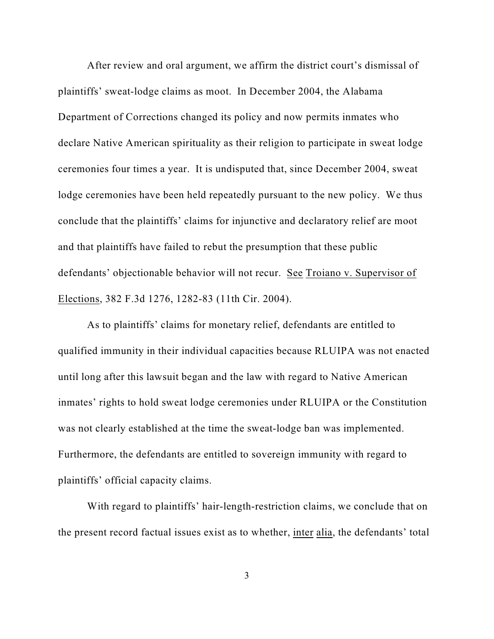After review and oral argument, we affirm the district court's dismissal of plaintiffs' sweat-lodge claims as moot. In December 2004, the Alabama Department of Corrections changed its policy and now permits inmates who declare Native American spirituality as their religion to participate in sweat lodge ceremonies four times a year. It is undisputed that, since December 2004, sweat lodge ceremonies have been held repeatedly pursuant to the new policy. We thus conclude that the plaintiffs' claims for injunctive and declaratory relief are moot and that plaintiffs have failed to rebut the presumption that these public defendants' objectionable behavior will not recur. See Troiano v. Supervisor of Elections, 382 F.3d 1276, 1282-83 (11th Cir. 2004).

As to plaintiffs' claims for monetary relief, defendants are entitled to qualified immunity in their individual capacities because RLUIPA was not enacted until long after this lawsuit began and the law with regard to Native American inmates' rights to hold sweat lodge ceremonies under RLUIPA or the Constitution was not clearly established at the time the sweat-lodge ban was implemented. Furthermore, the defendants are entitled to sovereign immunity with regard to plaintiffs' official capacity claims.

With regard to plaintiffs' hair-length-restriction claims, we conclude that on the present record factual issues exist as to whether, inter alia, the defendants' total